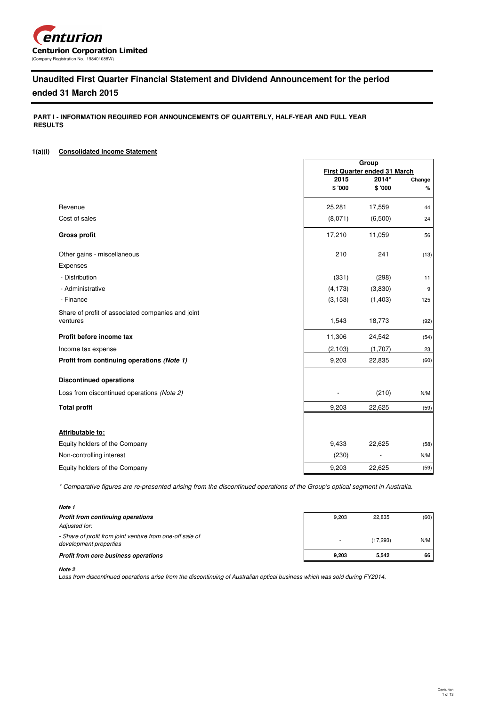

# **Unaudited First Quarter Financial Statement and Dividend Announcement for the period**

## **ended 31 March 2015**

 **PART I - INFORMATION REQUIRED FOR ANNOUNCEMENTS OF QUARTERLY, HALF-YEAR AND FULL YEAR RESULTS**

## **1(a)(i) Consolidated Income Statement**

|                                                               |          | Group                        |        |  |
|---------------------------------------------------------------|----------|------------------------------|--------|--|
|                                                               |          | First Quarter ended 31 March |        |  |
|                                                               | 2015     | 2014*                        | Change |  |
|                                                               | \$'000   | \$'000                       | %      |  |
| Revenue                                                       | 25,281   | 17,559                       | 44     |  |
| Cost of sales                                                 | (8,071)  | (6,500)                      | 24     |  |
| <b>Gross profit</b>                                           | 17,210   | 11,059                       | 56     |  |
| Other gains - miscellaneous                                   | 210      | 241                          | (13)   |  |
| Expenses                                                      |          |                              |        |  |
| - Distribution                                                | (331)    | (298)                        | 11     |  |
| - Administrative                                              | (4, 173) | (3,830)                      | 9      |  |
| - Finance                                                     | (3, 153) | (1,403)                      | 125    |  |
| Share of profit of associated companies and joint<br>ventures | 1,543    | 18,773                       | (92)   |  |
|                                                               |          |                              |        |  |
| Profit before income tax                                      | 11,306   | 24,542                       | (54)   |  |
| Income tax expense                                            | (2, 103) | (1,707)                      | 23     |  |
| Profit from continuing operations (Note 1)                    | 9,203    | 22,835                       | (60)   |  |
| <b>Discontinued operations</b>                                |          |                              |        |  |
| Loss from discontinued operations (Note 2)                    |          | (210)                        | N/M    |  |
| <b>Total profit</b>                                           | 9,203    | 22,625                       | (59)   |  |
|                                                               |          |                              |        |  |
| <b>Attributable to:</b>                                       |          |                              |        |  |
| Equity holders of the Company                                 | 9,433    | 22,625                       | (58)   |  |
| Non-controlling interest                                      | (230)    |                              | N/M    |  |
| Equity holders of the Company                                 | 9,203    | 22,625                       | (59)   |  |

\* Comparative figures are re-presented arising from the discontinued operations of the Group's optical segment in Australia.

## **Note 1**

| <b>Profit from continuing operations</b>                                            | 9.203 | 22.835   | (60) |
|-------------------------------------------------------------------------------------|-------|----------|------|
| Adjusted for:                                                                       |       |          |      |
| - Share of profit from joint venture from one-off sale of<br>development properties |       | (17.293) | N/M  |
| Profit from core business operations                                                | 9.203 | 5.542    | 66   |

#### **Note 2**

Loss from discontinued operations arise from the discontinuing of Australian optical business which was sold during FY2014.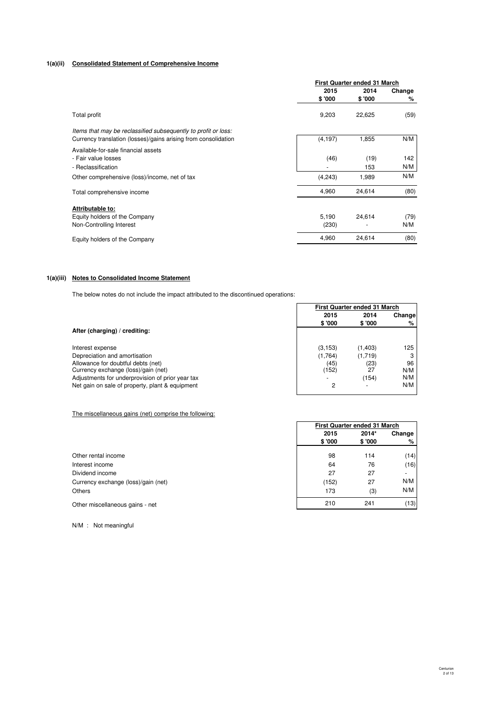## **1(a)(ii) Consolidated Statement of Comprehensive Income**

|                                                                |          | First Quarter ended 31 March |        |  |
|----------------------------------------------------------------|----------|------------------------------|--------|--|
|                                                                | 2015     | 2014                         | Change |  |
|                                                                | \$'000   | \$'000                       | %      |  |
| Total profit                                                   | 9,203    | 22,625                       | (59)   |  |
| Items that may be reclassified subsequently to profit or loss: |          |                              |        |  |
| Currency translation (losses)/gains arising from consolidation | (4, 197) | 1,855                        | N/M    |  |
| Available-for-sale financial assets                            |          |                              |        |  |
| - Fair value losses                                            | (46)     | (19)                         | 142    |  |
| - Reclassification                                             |          | 153                          | N/M    |  |
| Other comprehensive (loss)/income, net of tax                  | (4,243)  | 1,989                        | N/M    |  |
| Total comprehensive income                                     | 4,960    | 24,614                       | (80)   |  |
| Attributable to:                                               |          |                              |        |  |
| Equity holders of the Company                                  | 5,190    | 24,614                       | (79)   |  |
| Non-Controlling Interest                                       | (230)    |                              | N/M    |  |
| Equity holders of the Company                                  | 4,960    | 24,614                       | (80)   |  |

### **1(a)(iii) Notes to Consolidated Income Statement**

The below notes do not include the impact attributed to the discontinued operations:

|                                                  | First Quarter ended 31 March |                |     |  |
|--------------------------------------------------|------------------------------|----------------|-----|--|
|                                                  | 2015                         | 2014<br>Change |     |  |
|                                                  | \$ '000                      | \$'000         | %   |  |
| After (charging) / crediting:                    |                              |                |     |  |
| Interest expense                                 | (3, 153)                     | (1,403)        | 125 |  |
| Depreciation and amortisation                    | (1,764)                      | (1,719)        | 3   |  |
| Allowance for doubtful debts (net)               | (45)                         | (23)           | 96  |  |
| Currency exchange (loss)/gain (net)              | (152)                        | 27             | N/M |  |
| Adjustments for underprovision of prior year tax |                              | (154)          | N/M |  |
| Net gain on sale of property, plant & equipment  | 2                            |                | N/M |  |

### The miscellaneous gains (net) comprise the following:

|                                     | First Quarter ended 31 March |        |      |  |
|-------------------------------------|------------------------------|--------|------|--|
|                                     | 2015                         | 2014*  |      |  |
|                                     | \$'000                       | \$'000 | %    |  |
| Other rental income                 | 98                           | 114    | (14) |  |
| Interest income                     | 64                           | 76     | (16) |  |
| Dividend income                     | 27                           | 27     | -    |  |
| Currency exchange (loss)/gain (net) | (152)                        | 27     | N/M  |  |
| <b>Others</b>                       | 173                          | (3)    | N/M  |  |
| Other miscellaneous gains - net     | 210                          | 241    | (13) |  |

N/M : Not meaningful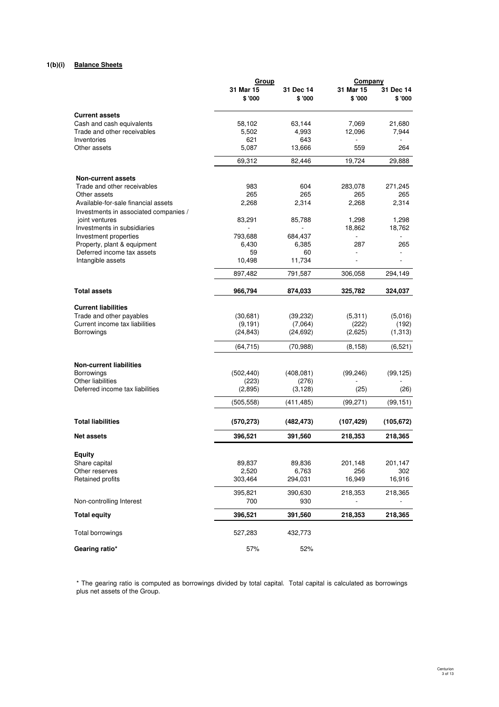## **1(b)(i) Balance Sheets**

|                                                      | Group      |            | Company    |                |
|------------------------------------------------------|------------|------------|------------|----------------|
|                                                      | 31 Mar 15  | 31 Dec 14  | 31 Mar 15  | 31 Dec 14      |
|                                                      | \$'000     | \$'000     | \$'000     | \$'000         |
| <b>Current assets</b>                                |            |            |            |                |
| Cash and cash equivalents                            | 58,102     | 63,144     | 7,069      | 21,680         |
| Trade and other receivables                          | 5,502      | 4,993      | 12,096     | 7,944          |
| Inventories                                          | 621        | 643        |            |                |
| Other assets                                         | 5,087      | 13,666     | 559        | 264            |
|                                                      | 69,312     | 82,446     | 19,724     | 29.888         |
| <b>Non-current assets</b>                            |            |            |            |                |
| Trade and other receivables                          | 983        | 604        | 283,078    | 271,245        |
| Other assets                                         | 265        | 265        | 265        | 265            |
| Available-for-sale financial assets                  | 2,268      | 2,314      | 2,268      | 2,314          |
| Investments in associated companies /                |            |            |            |                |
| joint ventures                                       | 83,291     | 85,788     | 1,298      | 1,298          |
| Investments in subsidiaries                          |            | $\sim$     | 18,862     | 18,762         |
| Investment properties                                | 793,688    | 684,437    |            |                |
| Property, plant & equipment                          | 6,430      | 6,385      | 287        | 265            |
| Deferred income tax assets                           | 59         | 60         |            |                |
| Intangible assets                                    | 10,498     | 11,734     |            | $\overline{a}$ |
|                                                      | 897,482    | 791,587    | 306,058    | 294,149        |
| <b>Total assets</b>                                  | 966.794    | 874,033    | 325,782    | 324,037        |
| <b>Current liabilities</b>                           |            |            |            |                |
| Trade and other payables                             | (30,681)   | (39, 232)  | (5, 311)   | (5,016)        |
| Current income tax liabilities                       | (9, 191)   | (7,064)    | (222)      | (192)          |
| <b>Borrowings</b>                                    | (24, 843)  | (24, 692)  | (2,625)    | (1,313)        |
|                                                      | (64, 715)  | (70, 988)  | (8, 158)   | (6,521)        |
|                                                      |            |            |            |                |
| <b>Non-current liabilities</b>                       |            |            |            |                |
| <b>Borrowings</b>                                    | (502, 440) | (408, 081) | (99, 246)  | (99, 125)      |
| Other liabilities<br>Deferred income tax liabilities | (223)      | (276)      |            |                |
|                                                      | (2,895)    | (3, 128)   | (25)       | (26)           |
|                                                      | (505, 558) | (411, 485) | (99, 271)  | (99, 151)      |
| <b>Total liabilities</b>                             | (570, 273) | (482, 473) | (107, 429) | (105, 672)     |
| <b>Net assets</b>                                    | 396,521    | 391,560    | 218,353    | 218,365        |
|                                                      |            |            |            |                |
| <b>Equity</b>                                        |            |            |            |                |
| Share capital                                        | 89,837     | 89,836     | 201,148    | 201,147        |
| Other reserves                                       | 2,520      | 6,763      | 256        | 302            |
| Retained profits                                     | 303,464    | 294,031    | 16,949     | 16,916         |
|                                                      | 395,821    | 390,630    | 218,353    | 218,365        |
| Non-controlling Interest                             | 700        | 930        |            |                |
| <b>Total equity</b>                                  | 396,521    | 391,560    | 218,353    | 218,365        |
| Total borrowings                                     | 527,283    | 432,773    |            |                |
| Gearing ratio*                                       | 57%        | 52%        |            |                |

# \* The gearing ratio is computed as borrowings divided by total capital. Total capital is calculated as borrowings plus net assets of the Group.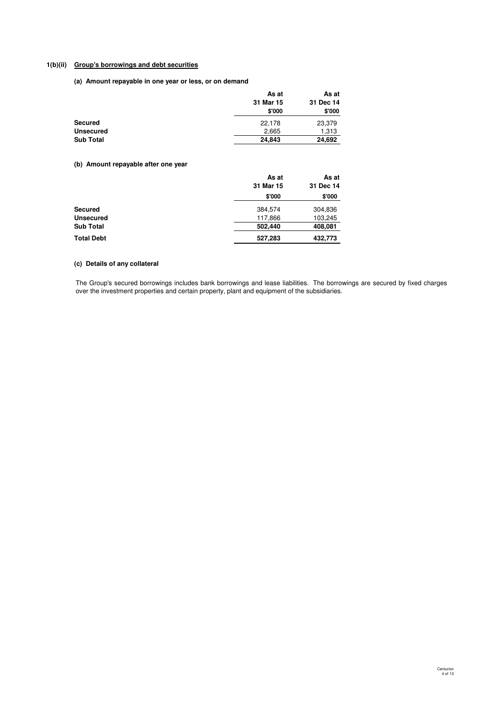## **1(b)(ii) Group's borrowings and debt securities**

**(a) Amount repayable in one year or less, or on demand**

|                  | As at     | As at     |  |
|------------------|-----------|-----------|--|
|                  | 31 Mar 15 | 31 Dec 14 |  |
|                  | \$'000    | \$'000    |  |
| <b>Secured</b>   | 22,178    | 23,379    |  |
| <b>Unsecured</b> | 2.665     | 1,313     |  |
| <b>Sub Total</b> | 24,843    | 24,692    |  |

## **(b) Amount repayable after one year**

|                   | As at     | As at     |
|-------------------|-----------|-----------|
|                   | 31 Mar 15 | 31 Dec 14 |
|                   | \$'000    | \$'000    |
| Secured           | 384,574   | 304,836   |
| <b>Unsecured</b>  | 117,866   | 103,245   |
| <b>Sub Total</b>  | 502.440   | 408,081   |
| <b>Total Debt</b> | 527,283   | 432,773   |

## **(c) Details of any collateral**

The Group's secured borrowings includes bank borrowings and lease liabilities. The borrowings are secured by fixed charges over the investment properties and certain property, plant and equipment of the subsidiaries.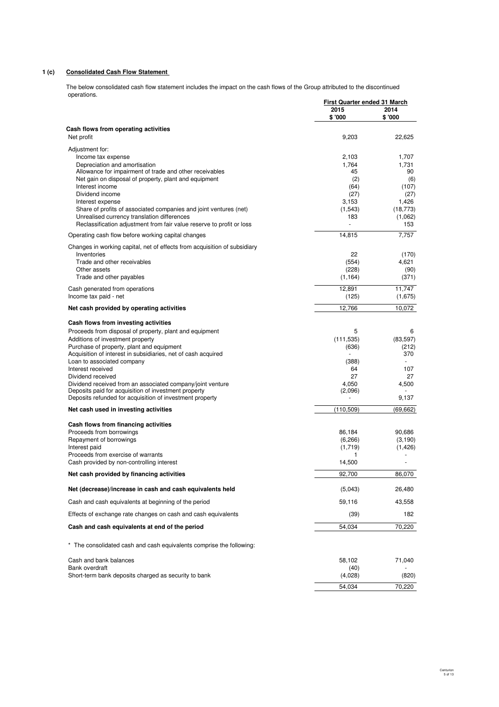## **1 (c) Consolidated Cash Flow Statement**

The below consolidated cash flow statement includes the impact on the cash flows of the Group attributed to the discontinued operations. **Fourth Quarter First Quarter ended 31 March**

|                                                                                                                  | <u>First Quarter ended 31 March</u> |                |
|------------------------------------------------------------------------------------------------------------------|-------------------------------------|----------------|
|                                                                                                                  | 2015<br>\$'000                      | 2014<br>\$'000 |
|                                                                                                                  |                                     |                |
| Cash flows from operating activities<br>Net profit                                                               | 9,203                               | 22,625         |
| Adjustment for:                                                                                                  |                                     |                |
| Income tax expense                                                                                               | 2,103                               | 1.707          |
| Depreciation and amortisation                                                                                    | 1,764                               | 1,731          |
| Allowance for impairment of trade and other receivables<br>Net gain on disposal of property, plant and equipment | 45<br>(2)                           | 90<br>(6)      |
| Interest income                                                                                                  | (64)                                | (107)          |
| Dividend income                                                                                                  | (27)                                | (27)           |
| Interest expense                                                                                                 | 3,153                               | 1,426          |
| Share of profits of associated companies and joint ventures (net)                                                | (1,543)                             | (18, 773)      |
| Unrealised currency translation differences                                                                      | 183                                 | (1,062)        |
| Reclassification adjustment from fair value reserve to profit or loss                                            | L,                                  | 153            |
| Operating cash flow before working capital changes                                                               | 14,815                              | 7,757          |
| Changes in working capital, net of effects from acquisition of subsidiary                                        |                                     |                |
| Inventories<br>Trade and other receivables                                                                       | 22<br>(554)                         | (170)<br>4,621 |
| Other assets                                                                                                     | (228)                               | (90)           |
| Trade and other payables                                                                                         | (1, 164)                            | (371)          |
| Cash generated from operations                                                                                   | 12,891                              | 11.747         |
| Income tax paid - net                                                                                            | (125)                               | (1,675)        |
| Net cash provided by operating activities                                                                        | 12,766                              | 10,072         |
| Cash flows from investing activities                                                                             |                                     |                |
| Proceeds from disposal of property, plant and equipment                                                          | 5                                   | 6              |
| Additions of investment property                                                                                 | (111, 535)                          | (83, 597)      |
| Purchase of property, plant and equipment                                                                        | (636)                               | (212)          |
| Acquisition of interest in subsidiaries, net of cash acquired                                                    | $\sim$                              | 370            |
| Loan to associated company                                                                                       | (388)                               |                |
| Interest received<br>Dividend received                                                                           | 64<br>27                            | 107<br>27      |
| Dividend received from an associated company/joint venture                                                       | 4,050                               | 4,500          |
| Deposits paid for acquisition of investment property                                                             | (2,096)                             |                |
| Deposits refunded for acquisition of investment property                                                         |                                     | 9,137          |
| Net cash used in investing activities                                                                            | (110, 509)                          | (69, 662)      |
| Cash flows from financing activities                                                                             |                                     |                |
| Proceeds from borrowings                                                                                         | 86,184                              | 90,686         |
| Repayment of borrowings                                                                                          | (6, 266)                            | (3, 190)       |
| Interest paid<br>Proceeds from exercise of warrants                                                              | (1,719)<br>1                        | (1, 426)       |
| Cash provided by non-controlling interest                                                                        | 14,500                              |                |
| Net cash provided by financing activities                                                                        | 92,700                              | 86,070         |
| Net (decrease)/increase in cash and cash equivalents held                                                        | (5,043)                             | 26,480         |
| Cash and cash equivalents at beginning of the period                                                             | 59,116                              | 43,558         |
| Effects of exchange rate changes on cash and cash equivalents                                                    | (39)                                | 182            |
| Cash and cash equivalents at end of the period                                                                   | 54,034                              | 70,220         |
|                                                                                                                  |                                     |                |
| * The consolidated cash and cash equivalents comprise the following:                                             |                                     |                |
| Cash and bank balances                                                                                           | 58,102                              | 71,040         |
| Bank overdraft                                                                                                   | (40)                                |                |
| Short-term bank deposits charged as security to bank                                                             | (4,028)                             | (820)          |
|                                                                                                                  | 54,034                              | 70,220         |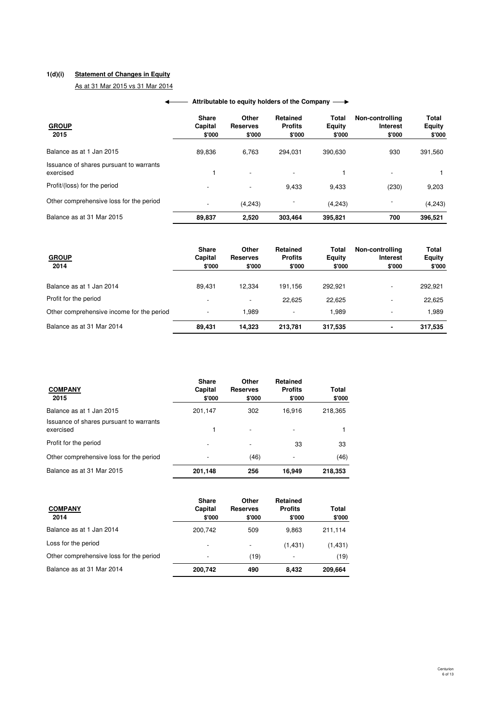## **1(d)(i) Statement of Changes in Equity**

As at 31 Mar 2015 vs 31 Mar 2014

| <b>GROUP</b><br>2015                                 | <b>Share</b><br>Capital<br>\$'000 | Other<br><b>Reserves</b><br>\$'000 | <b>Retained</b><br><b>Profits</b><br>\$'000 | <b>Total</b><br>Equity<br>\$'000 | Non-controlling<br><b>Interest</b><br>\$'000 | Total<br><b>Equity</b><br>\$'000 |
|------------------------------------------------------|-----------------------------------|------------------------------------|---------------------------------------------|----------------------------------|----------------------------------------------|----------------------------------|
| Balance as at 1 Jan 2015                             | 89,836                            | 6.763                              | 294.031                                     | 390.630                          | 930                                          | 391,560                          |
| Issuance of shares pursuant to warrants<br>exercised |                                   | $\overline{\phantom{a}}$           | $\overline{\phantom{a}}$                    |                                  | $\overline{\phantom{a}}$                     |                                  |
| Profit/(loss) for the period                         | $\overline{\phantom{a}}$          | $\overline{\phantom{a}}$           | 9.433                                       | 9,433                            | (230)                                        | 9,203                            |
| Other comprehensive loss for the period              | $\overline{\phantom{a}}$          | (4,243)                            |                                             | (4, 243)                         | $\overline{\phantom{a}}$                     | (4, 243)                         |
| Balance as at 31 Mar 2015                            | 89,837                            | 2.520                              | 303.464                                     | 395.821                          | 700                                          | 396,521                          |

## **← Attributable to equity holders of the Company**

| <b>GROUP</b><br>2014                      | <b>Share</b><br>Capital<br>\$'000 | Other<br><b>Reserves</b><br>\$'000 | Retained<br><b>Profits</b><br>\$'000 | Total<br>Equity<br>\$'000 | Non-controlling<br><b>Interest</b><br>\$'000 | <b>Total</b><br>Equity<br>\$'000 |
|-------------------------------------------|-----------------------------------|------------------------------------|--------------------------------------|---------------------------|----------------------------------------------|----------------------------------|
| Balance as at 1 Jan 2014                  | 89.431                            | 12.334                             | 191.156                              | 292.921                   | $\overline{\phantom{a}}$                     | 292,921                          |
| Profit for the period                     | $\overline{\phantom{a}}$          | $\overline{\phantom{a}}$           | 22.625                               | 22.625                    | $\overline{\phantom{a}}$                     | 22,625                           |
| Other comprehensive income for the period |                                   | 1.989                              | ٠                                    | 1.989                     | $\overline{\phantom{a}}$                     | 1.989                            |
| Balance as at 31 Mar 2014                 | 89.431                            | 14.323                             | 213.781                              | 317,535                   | ٠                                            | 317,535                          |

| <b>COMPANY</b><br>2015                               | <b>Share</b><br>Capital<br>\$'000 | Other<br><b>Reserves</b><br>\$'000 | <b>Retained</b><br><b>Profits</b><br>\$'000 | Total<br>\$'000 |
|------------------------------------------------------|-----------------------------------|------------------------------------|---------------------------------------------|-----------------|
| Balance as at 1 Jan 2015                             | 201,147                           | 302                                | 16,916                                      | 218,365         |
| Issuance of shares pursuant to warrants<br>exercised |                                   | $\overline{\phantom{a}}$           |                                             |                 |
| Profit for the period                                |                                   |                                    | 33                                          | 33              |
| Other comprehensive loss for the period              |                                   | (46)                               | $\overline{\phantom{0}}$                    | (46)            |
| Balance as at 31 Mar 2015                            | 201,148                           | 256                                | 16,949                                      | 218,353         |

| <b>COMPANY</b><br>2014                  | <b>Share</b><br>Capital<br>\$'000 | Other<br><b>Reserves</b><br>\$'000 | <b>Retained</b><br><b>Profits</b><br>\$'000 | Total<br>\$'000 |
|-----------------------------------------|-----------------------------------|------------------------------------|---------------------------------------------|-----------------|
| Balance as at 1 Jan 2014                | 200.742                           | 509                                | 9.863                                       | 211,114         |
| Loss for the period                     | $\overline{\phantom{a}}$          | $\overline{\phantom{a}}$           | (1, 431)                                    | (1,431)         |
| Other comprehensive loss for the period |                                   | (19)                               |                                             | (19)            |
| Balance as at 31 Mar 2014               | 200,742                           | 490                                | 8.432                                       | 209,664         |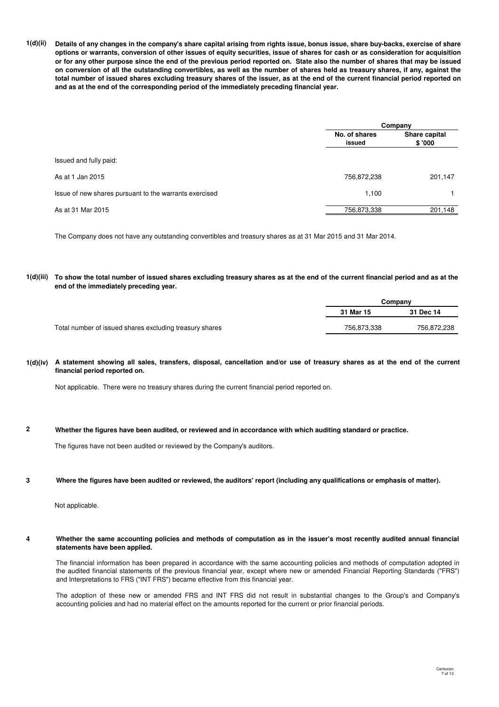**1(d)(ii) Details of any changes in the company's share capital arising from rights issue, bonus issue, share buy-backs, exercise of share options or warrants, conversion of other issues of equity securities, issue of shares for cash or as consideration for acquisition or for any other purpose since the end of the previous period reported on. State also the number of shares that may be issued on conversion of all the outstanding convertibles, as well as the number of shares held as treasury shares, if any, against the total number of issued shares excluding treasury shares of the issuer, as at the end of the current financial period reported on and as at the end of the corresponding period of the immediately preceding financial year.**

|                                                        | Company                 |                         |
|--------------------------------------------------------|-------------------------|-------------------------|
|                                                        | No. of shares<br>issued | Share capital<br>\$'000 |
| Issued and fully paid:                                 |                         |                         |
| As at 1 Jan 2015                                       | 756,872,238             | 201,147                 |
| Issue of new shares pursuant to the warrants exercised | 1.100                   |                         |
| As at 31 Mar 2015                                      | 756,873,338             | 201,148                 |

The Company does not have any outstanding convertibles and treasury shares as at 31 Mar 2015 and 31 Mar 2014.

#### **1(d)(iii) To show the total number of issued shares excluding treasury shares as at the end of the current financial period and as at the end of the immediately preceding year.**

|                                                         | Companv     |             |  |
|---------------------------------------------------------|-------------|-------------|--|
|                                                         | 31 Mar 15   | 31 Dec 14   |  |
| Total number of issued shares excluding treasury shares | 756.873.338 | 756,872,238 |  |

### **1(d)(iv) A statement showing all sales, transfers, disposal, cancellation and/or use of treasury shares as at the end of the current financial period reported on.**

Not applicable. There were no treasury shares during the current financial period reported on.

#### **2 Whether the figures have been audited, or reviewed and in accordance with which auditing standard or practice.**

The figures have not been audited or reviewed by the Company's auditors.

#### **3 Where the figures have been audited or reviewed, the auditors' report (including any qualifications or emphasis of matter).**

Not applicable.

#### **4 Whether the same accounting policies and methods of computation as in the issuer's most recently audited annual financial statements have been applied.**

The financial information has been prepared in accordance with the same accounting policies and methods of computation adopted in the audited financial statements of the previous financial year, except where new or amended Financial Reporting Standards ("FRS") and Interpretations to FRS ("INT FRS") became effective from this financial year.

The adoption of these new or amended FRS and INT FRS did not result in substantial changes to the Group's and Company's accounting policies and had no material effect on the amounts reported for the current or prior financial periods.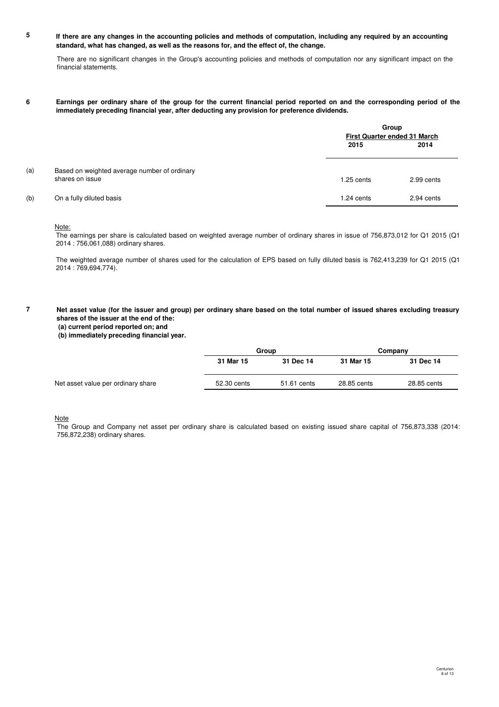#### **5 If there are any changes in the accounting policies and methods of computation, including any required by an accounting standard, what has changed, as well as the reasons for, and the effect of, the change.**

There are no significant changes in the Group's accounting policies and methods of computation nor any significant impact on the financial statements.

#### **6 Earnings per ordinary share of the group for the current financial period reported on and the corresponding period of the immediately preceding financial year, after deducting any provision for preference dividends.**

|     |                                              | Group<br>First Quarter ended 31 March |            |
|-----|----------------------------------------------|---------------------------------------|------------|
|     |                                              | 2015                                  | 2014       |
| (a) | Based on weighted average number of ordinary |                                       |            |
|     | shares on issue                              | $1.25$ cents                          | 2.99 cents |
| (b) | On a fully diluted basis                     | 1.24 cents                            | 2.94 cents |

### Note:

The earnings per share is calculated based on weighted average number of ordinary shares in issue of 756,873,012 for Q1 2015 (Q1 2014 : 756,061,088) ordinary shares.

The weighted average number of shares used for the calculation of EPS based on fully diluted basis is 762,413,239 for Q1 2015 (Q1 2014 : 769,694,774).

**7 Net asset value (for the issuer and group) per ordinary share based on the total number of issued shares excluding treasury shares of the issuer at the end of the:**

 **(b) immediately preceding financial year.**

|                                    |             | Group       |             | Company     |  |
|------------------------------------|-------------|-------------|-------------|-------------|--|
|                                    | 31 Mar 15   | 31 Dec 14   | 31 Mar 15   | 31 Dec 14   |  |
| Net asset value per ordinary share | 52.30 cents | 51.61 cents | 28.85 cents | 28.85 cents |  |

**Note** 

The Group and Company net asset per ordinary share is calculated based on existing issued share capital of 756,873,338 (2014: 756,872,238) ordinary shares.

 **<sup>(</sup>a) current period reported on; and**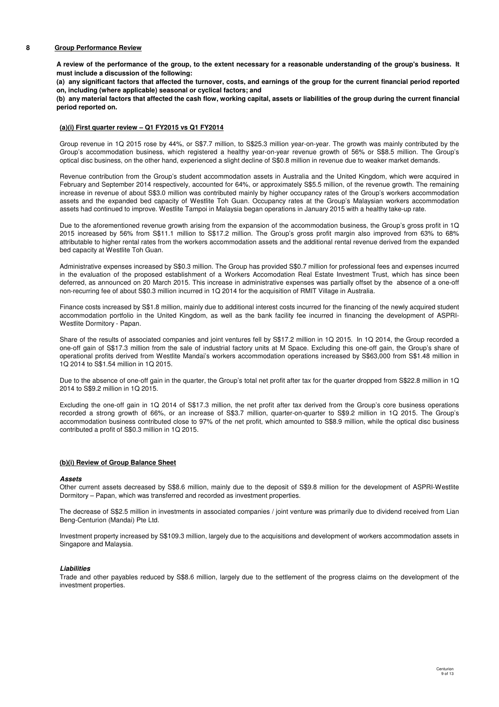#### **8 Group Performance Review**

**A review of the performance of the group, to the extent necessary for a reasonable understanding of the group's business. It must include a discussion of the following:**

**(a) any significant factors that affected the turnover, costs, and earnings of the group for the current financial period reported on, including (where applicable) seasonal or cyclical factors; and**

**(b) any material factors that affected the cash flow, working capital, assets or liabilities of the group during the current financial period reported on.**

### **(a)(i) First quarter review – Q1 FY2015 vs Q1 FY2014**

Group revenue in 1Q 2015 rose by 44%, or S\$7.7 million, to S\$25.3 million year-on-year. The growth was mainly contributed by the Group's accommodation business, which registered a healthy year-on-year revenue growth of 56% or S\$8.5 million. The Group's optical disc business, on the other hand, experienced a slight decline of S\$0.8 million in revenue due to weaker market demands.

Revenue contribution from the Group's student accommodation assets in Australia and the United Kingdom, which were acquired in February and September 2014 respectively, accounted for 64%, or approximately S\$5.5 million, of the revenue growth. The remaining increase in revenue of about S\$3.0 million was contributed mainly by higher occupancy rates of the Group's workers accommodation assets and the expanded bed capacity of Westlite Toh Guan. Occupancy rates at the Group's Malaysian workers accommodation assets had continued to improve. Westlite Tampoi in Malaysia began operations in January 2015 with a healthy take-up rate.

Due to the aforementioned revenue growth arising from the expansion of the accommodation business, the Group's gross profit in 1Q 2015 increased by 56% from S\$11.1 million to S\$17.2 million. The Group's gross profit margin also improved from 63% to 68% attributable to higher rental rates from the workers accommodation assets and the additional rental revenue derived from the expanded bed capacity at Westlite Toh Guan.

Administrative expenses increased by S\$0.3 million. The Group has provided S\$0.7 million for professional fees and expenses incurred in the evaluation of the proposed establishment of a Workers Accomodation Real Estate Investment Trust, which has since been deferred, as announced on 20 March 2015. This increase in administrative expenses was partially offset by the absence of a one-off non-recurring fee of about S\$0.3 million incurred in 1Q 2014 for the acquisition of RMIT Village in Australia.

Finance costs increased by S\$1.8 million, mainly due to additional interest costs incurred for the financing of the newly acquired student accommodation portfolio in the United Kingdom, as well as the bank facility fee incurred in financing the development of ASPRI-Westlite Dormitory - Papan.

Share of the results of associated companies and joint ventures fell by S\$17.2 million in 1Q 2015. In 1Q 2014, the Group recorded a one-off gain of S\$17.3 million from the sale of industrial factory units at M Space. Excluding this one-off gain, the Group's share of operational profits derived from Westlite Mandai's workers accommodation operations increased by S\$63,000 from S\$1.48 million in 1Q 2014 to S\$1.54 million in 1Q 2015.

Due to the absence of one-off gain in the quarter, the Group's total net profit after tax for the quarter dropped from S\$22.8 million in 1Q 2014 to S\$9.2 million in 1Q 2015.

Excluding the one-off gain in 1Q 2014 of S\$17.3 million, the net profit after tax derived from the Group's core business operations recorded a strong growth of 66%, or an increase of S\$3.7 million, quarter-on-quarter to S\$9.2 million in 1Q 2015. The Group's accommodation business contributed close to 97% of the net profit, which amounted to S\$8.9 million, while the optical disc business contributed a profit of S\$0.3 million in 1Q 2015.

### **(b)(i) Review of Group Balance Sheet**

#### **Assets**

Other current assets decreased by S\$8.6 million, mainly due to the deposit of S\$9.8 million for the development of ASPRI-Westlite Dormitory – Papan, which was transferred and recorded as investment properties.

The decrease of S\$2.5 million in investments in associated companies / joint venture was primarily due to dividend received from Lian Beng-Centurion (Mandai) Pte Ltd.

Investment property increased by S\$109.3 million, largely due to the acquisitions and development of workers accommodation assets in Singapore and Malaysia.

#### **Liabilities**

Trade and other payables reduced by S\$8.6 million, largely due to the settlement of the progress claims on the development of the investment properties.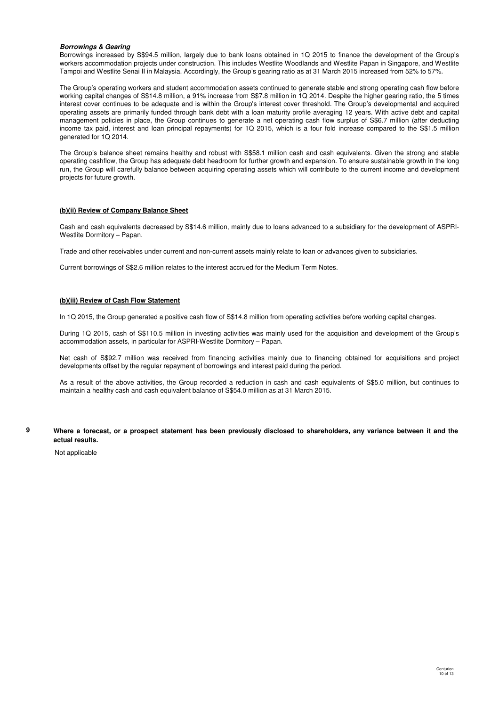#### **Borrowings & Gearing**

Borrowings increased by S\$94.5 million, largely due to bank loans obtained in 1Q 2015 to finance the development of the Group's workers accommodation projects under construction. This includes Westlite Woodlands and Westlite Papan in Singapore, and Westlite Tampoi and Westlite Senai II in Malaysia. Accordingly, the Group's gearing ratio as at 31 March 2015 increased from 52% to 57%.

The Group's operating workers and student accommodation assets continued to generate stable and strong operating cash flow before working capital changes of S\$14.8 million, a 91% increase from S\$7.8 million in 1Q 2014. Despite the higher gearing ratio, the 5 times interest cover continues to be adequate and is within the Group's interest cover threshold. The Group's developmental and acquired operating assets are primarily funded through bank debt with a loan maturity profile averaging 12 years. With active debt and capital management policies in place, the Group continues to generate a net operating cash flow surplus of S\$6.7 million (after deducting income tax paid, interest and loan principal repayments) for 1Q 2015, which is a four fold increase compared to the S\$1.5 million generated for 1Q 2014.

The Group's balance sheet remains healthy and robust with S\$58.1 million cash and cash equivalents. Given the strong and stable operating cashflow, the Group has adequate debt headroom for further growth and expansion. To ensure sustainable growth in the long run, the Group will carefully balance between acquiring operating assets which will contribute to the current income and development projects for future growth.

### **(b)(ii) Review of Company Balance Sheet**

Cash and cash equivalents decreased by S\$14.6 million, mainly due to loans advanced to a subsidiary for the development of ASPRI-Westlite Dormitory – Papan.

Trade and other receivables under current and non-current assets mainly relate to loan or advances given to subsidiaries.

Current borrowings of S\$2.6 million relates to the interest accrued for the Medium Term Notes.

## **(b)(iii) Review of Cash Flow Statement**

In 1Q 2015, the Group generated a positive cash flow of S\$14.8 million from operating activities before working capital changes.

During 1Q 2015, cash of S\$110.5 million in investing activities was mainly used for the acquisition and development of the Group's accommodation assets, in particular for ASPRI-Westlite Dormitory – Papan.

Net cash of S\$92.7 million was received from financing activities mainly due to financing obtained for acquisitions and project developments offset by the regular repayment of borrowings and interest paid during the period.

As a result of the above activities, the Group recorded a reduction in cash and cash equivalents of S\$5.0 million, but continues to maintain a healthy cash and cash equivalent balance of S\$54.0 million as at 31 March 2015.

**Where a forecast, or a prospect statement has been previously disclosed to shareholders, any variance between it and the actual results.**

Not applicable

**9**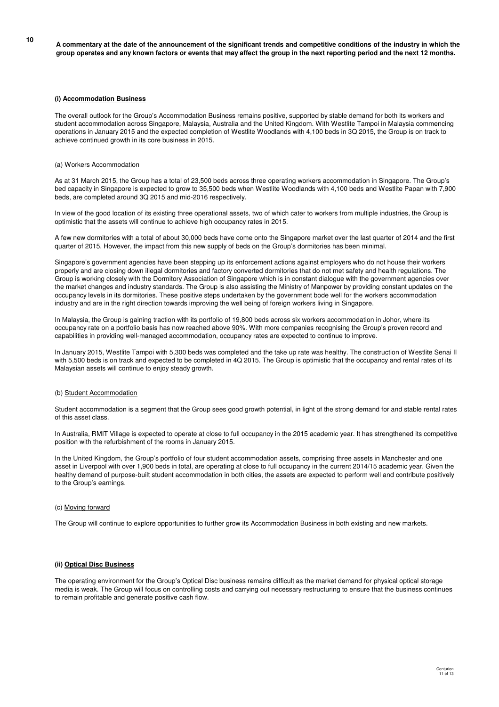**<sup>10</sup> A commentary at the date of the announcement of the significant trends and competitive conditions of the industry in which the group operates and any known factors or events that may affect the group in the next reporting period and the next 12 months.**

### **(i) Accommodation Business**

The overall outlook for the Group's Accommodation Business remains positive, supported by stable demand for both its workers and student accommodation across Singapore, Malaysia, Australia and the United Kingdom. With Westlite Tampoi in Malaysia commencing operations in January 2015 and the expected completion of Westlite Woodlands with 4,100 beds in 3Q 2015, the Group is on track to achieve continued growth in its core business in 2015.

#### (a) Workers Accommodation

As at 31 March 2015, the Group has a total of 23,500 beds across three operating workers accommodation in Singapore. The Group's bed capacity in Singapore is expected to grow to 35,500 beds when Westlite Woodlands with 4,100 beds and Westlite Papan with 7,900 beds, are completed around 3Q 2015 and mid-2016 respectively.

In view of the good location of its existing three operational assets, two of which cater to workers from multiple industries, the Group is optimistic that the assets will continue to achieve high occupancy rates in 2015.

A few new dormitories with a total of about 30,000 beds have come onto the Singapore market over the last quarter of 2014 and the first quarter of 2015. However, the impact from this new supply of beds on the Group's dormitories has been minimal.

Singapore's government agencies have been stepping up its enforcement actions against employers who do not house their workers properly and are closing down illegal dormitories and factory converted dormitories that do not met safety and health regulations. The Group is working closely with the Dormitory Association of Singapore which is in constant dialogue with the government agencies over the market changes and industry standards. The Group is also assisting the Ministry of Manpower by providing constant updates on the occupancy levels in its dormitories. These positive steps undertaken by the government bode well for the workers accommodation industry and are in the right direction towards improving the well being of foreign workers living in Singapore.

In Malaysia, the Group is gaining traction with its portfolio of 19,800 beds across six workers accommodation in Johor, where its occupancy rate on a portfolio basis has now reached above 90%. With more companies recognising the Group's proven record and capabilities in providing well-managed accommodation, occupancy rates are expected to continue to improve.

In January 2015, Westlite Tampoi with 5,300 beds was completed and the take up rate was healthy. The construction of Westlite Senai II with 5,500 beds is on track and expected to be completed in 4Q 2015. The Group is optimistic that the occupancy and rental rates of its Malaysian assets will continue to enjoy steady growth.

#### (b) Student Accommodation

Student accommodation is a segment that the Group sees good growth potential, in light of the strong demand for and stable rental rates of this asset class.

In Australia, RMIT Village is expected to operate at close to full occupancy in the 2015 academic year. It has strengthened its competitive position with the refurbishment of the rooms in January 2015.

In the United Kingdom, the Group's portfolio of four student accommodation assets, comprising three assets in Manchester and one asset in Liverpool with over 1,900 beds in total, are operating at close to full occupancy in the current 2014/15 academic year. Given the healthy demand of purpose-built student accommodation in both cities, the assets are expected to perform well and contribute positively to the Group's earnings.

### (c) Moving forward

The Group will continue to explore opportunities to further grow its Accommodation Business in both existing and new markets.

#### **(ii) Optical Disc Business**

The operating environment for the Group's Optical Disc business remains difficult as the market demand for physical optical storage media is weak. The Group will focus on controlling costs and carrying out necessary restructuring to ensure that the business continues to remain profitable and generate positive cash flow.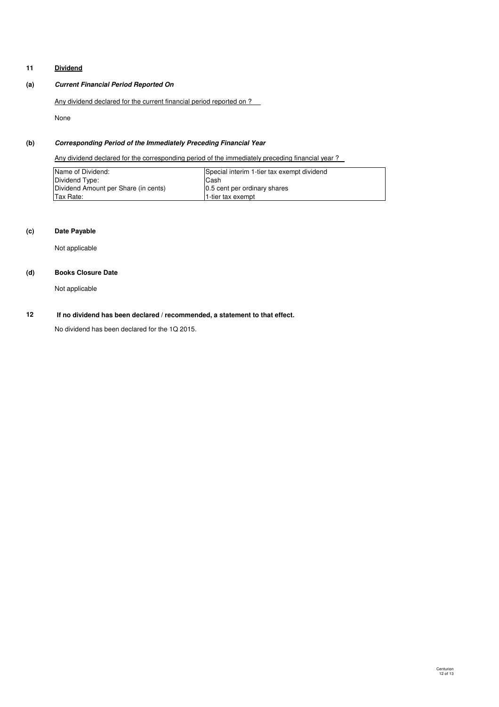## **11 Dividend**

## **(a) Current Financial Period Reported On**

Any dividend declared for the current financial period reported on ?

None

## **(b) Corresponding Period of the Immediately Preceding Financial Year**

Any dividend declared for the corresponding period of the immediately preceding financial year ?

| Name of Dividend:                    | Special interim 1-tier tax exempt dividend |
|--------------------------------------|--------------------------------------------|
| Dividend Type:                       | Cash                                       |
| Dividend Amount per Share (in cents) | 0.5 cent per ordinary shares               |
| Tax Rate:                            | 1-tier tax exempt                          |

## **(c) Date Payable**

Not applicable

## **(d) Books Closure Date**

Not applicable

#### **12 If no dividend has been declared / recommended, a statement to that effect.**

No dividend has been declared for the 1Q 2015.